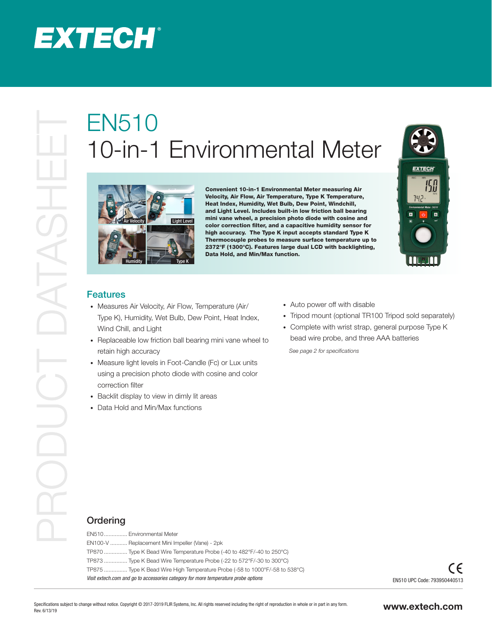

## 10-in-1 Environmental Meter



Convenient 10-in-1 Environmental Meter measuring Air Velocity, Air Flow, Air Temperature, Type K Temperature, Heat Index, Humidity, Wet Bulb, Dew Point, Windchill, and Light Level. Includes built-in low friction ball bearing mini vane wheel, a precision photo diode with cosine and color correction filter, and a capacitive humidity sensor for high accuracy. The Type K input accepts standard Type K Thermocouple probes to measure surface temperature up to 2372°F (1300°C). Features large dual LCD with backlighting, Data Hold, and Min/Max function.



## Features

- Measures Air Velocity, Air Flow, Temperature (Air/ Type K), Humidity, Wet Bulb, Dew Point, Heat Index, Wind Chill, and Light
- Replaceable low friction ball bearing mini vane wheel to retain high accuracy
- Measure light levels in Foot-Candle (Fc) or Lux units using a precision photo diode with cosine and color correction filter
- Backlit display to view in dimly lit areas
- Data Hold and Min/Max functions
- Auto power off with disable
- Tripod mount (optional TR100 Tripod sold separately)
- Complete with wrist strap, general purpose Type K bead wire probe, and three AAA batteries

*See page 2 for specifications*

## **Ordering**

| EN510 Environmental Meter                                                          |
|------------------------------------------------------------------------------------|
| EN100-V  Replacement Mini Impeller (Vane) - 2pk                                    |
| TP870  Type K Bead Wire Temperature Probe (-40 to 482°F/-40 to 250°C)              |
| TP873  Type K Bead Wire Temperature Probe (-22 to 572°F/-30 to 300°C)              |
| TP875 …………… Type K Bead Wire High Temperature Probe (-58 to 1000°F/-58 to 538°C)   |
| Visit extech.com and go to accessories category for more temperature probe options |
|                                                                                    |